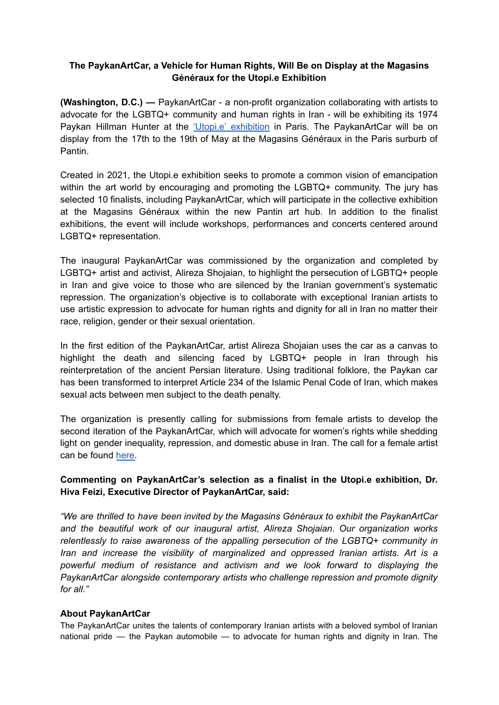## **The PaykanArtCar, a Vehicle for Human Rights, Will Be on Display at the Magasins Généraux for the Utopi.e Exhibition**

**(Washington, D.C.) —** PaykanArtCar - a non-profit organization collaborating with artists to advocate for the LGBTQ+ community and human rights in Iran - will be exhibiting its 1974 Paykan Hillman Hunter at the 'Utopi.e' [exhibition](https://www.prixutopie.com/) in Paris. The PaykanArtCar will be on display from the 17th to the 19th of May at the Magasins Généraux in the Paris surburb of Pantin.

Created in 2021, the Utopi.e exhibition seeks to promote a common vision of emancipation within the art world by encouraging and promoting the LGBTQ+ community. The jury has selected 10 finalists, including PaykanArtCar, which will participate in the collective exhibition at the Magasins Généraux within the new Pantin art hub. In addition to the finalist exhibitions, the event will include workshops, performances and concerts centered around LGBTQ+ representation.

The inaugural PaykanArtCar was commissioned by the organization and completed by LGBTQ+ artist and activist, Alireza Shojaian, to highlight the persecution of LGBTQ+ people in Iran and give voice to those who are silenced by the Iranian government's systematic repression. The organization's objective is to collaborate with exceptional Iranian artists to use artistic expression to advocate for human rights and dignity for all in Iran no matter their race, religion, gender or their sexual orientation.

In the first edition of the PaykanArtCar, artist Alireza Shojaian uses the car as a canvas to highlight the death and silencing faced by LGBTQ+ people in Iran through his reinterpretation of the ancient Persian literature. Using traditional folklore, the Paykan car has been transformed to interpret Article 234 of the Islamic Penal Code of Iran, which makes sexual acts between men subject to the death penalty.

The organization is presently calling for submissions from female artists to develop the second iteration of the PaykanArtCar, which will advocate for women's rights while shedding light on gender inequality, repression, and domestic abuse in Iran. The call for a female artist can be found [here.](https://paykanartcar.com/call-for-artists/)

## **Commenting on PaykanArtCar's selection as a finalist in the Utopi.e exhibition, Dr. Hiva Feizi, Executive Director of PaykanArtCar, said:**

*"We are thrilled to have been invited by the Magasins Généraux to exhibit the PaykanArtCar and the beautiful work of our inaugural artist, Alireza Shojaian. Our organization works relentlessly to raise awareness of the appalling persecution of the LGBTQ+ community in Iran and increase the visibility of marginalized and oppressed Iranian artists. Art is a powerful medium of resistance and activism and we look forward to displaying the PaykanArtCar alongside contemporary artists who challenge repression and promote dignity for all."*

## **About PaykanArtCar**

The PaykanArtCar unites the talents of contemporary Iranian artists with a beloved symbol of Iranian national pride — the Paykan automobile — to advocate for human rights and dignity in Iran. The